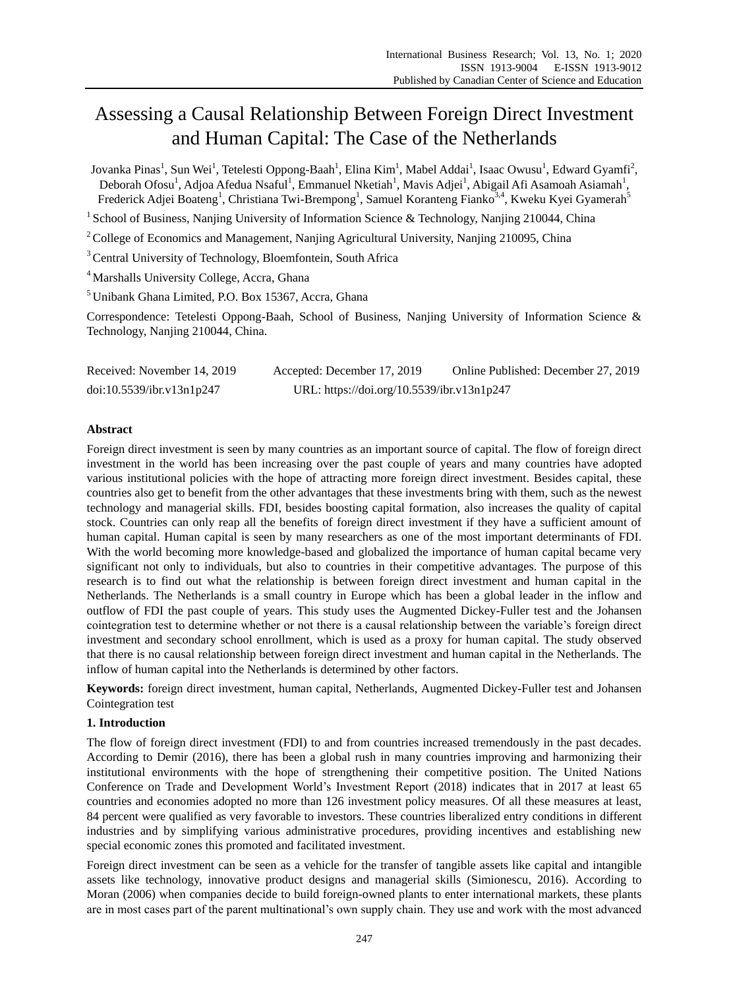# Assessing a Causal Relationship Between Foreign Direct Investment and Human Capital: The Case of the Netherlands

Jovanka Pinas<sup>1</sup>, Sun Wei<sup>1</sup>, Tetelesti Oppong-Baah<sup>1</sup>, Elina Kim<sup>1</sup>, Mabel Addai<sup>1</sup>, Isaac Owusu<sup>1</sup>, Edward Gyamfi<sup>2</sup>, Deborah Ofosu<sup>1</sup>, Adjoa Afedua Nsaful<sup>1</sup>, Emmanuel Nketiah<sup>1</sup>, Mavis Adjei<sup>1</sup>, Abigail Afi Asamoah Asiamah<sup>1</sup>, Frederick Adjei Boateng<sup>1</sup>, Christiana Twi-Brempong<sup>1</sup>, Samuel Koranteng Fianko<sup>3,4</sup>, Kweku Kyei Gyamerah<sup>5</sup>

<sup>1</sup> School of Business, Nanjing University of Information Science & Technology, Nanjing 210044, China

<sup>2</sup>College of Economics and Management, Nanjing Agricultural University, Nanjing 210095, China

<sup>3</sup> Central University of Technology, Bloemfontein, South Africa

<sup>4</sup> Marshalls University College, Accra, Ghana

<sup>5</sup> Unibank Ghana Limited, P.O. Box 15367, Accra, Ghana

Correspondence: Tetelesti Oppong-Baah, School of Business, Nanjing University of Information Science & Technology, Nanjing 210044, China.

| Received: November 14, 2019 | Accepted: December 17, 2019                | Online Published: December 27, 2019 |
|-----------------------------|--------------------------------------------|-------------------------------------|
| doi:10.5539/ibr.v13n1p247   | URL: https://doi.org/10.5539/ibr.v13n1p247 |                                     |

# **Abstract**

Foreign direct investment is seen by many countries as an important source of capital. The flow of foreign direct investment in the world has been increasing over the past couple of years and many countries have adopted various institutional policies with the hope of attracting more foreign direct investment. Besides capital, these countries also get to benefit from the other advantages that these investments bring with them, such as the newest technology and managerial skills. FDI, besides boosting capital formation, also increases the quality of capital stock. Countries can only reap all the benefits of foreign direct investment if they have a sufficient amount of human capital. Human capital is seen by many researchers as one of the most important determinants of FDI. With the world becoming more knowledge-based and globalized the importance of human capital became very significant not only to individuals, but also to countries in their competitive advantages. The purpose of this research is to find out what the relationship is between foreign direct investment and human capital in the Netherlands. The Netherlands is a small country in Europe which has been a global leader in the inflow and outflow of FDI the past couple of years. This study uses the Augmented Dickey-Fuller test and the Johansen cointegration test to determine whether or not there is a causal relationship between the variable's foreign direct investment and secondary school enrollment, which is used as a proxy for human capital. The study observed that there is no causal relationship between foreign direct investment and human capital in the Netherlands. The inflow of human capital into the Netherlands is determined by other factors.

**Keywords:** foreign direct investment, human capital, Netherlands, Augmented Dickey-Fuller test and Johansen Cointegration test

## **1. Introduction**

The flow of foreign direct investment (FDI) to and from countries increased tremendously in the past decades. According to Demir (2016), there has been a global rush in many countries improving and harmonizing their institutional environments with the hope of strengthening their competitive position. The United Nations Conference on Trade and Development World's Investment Report (2018) indicates that in 2017 at least 65 countries and economies adopted no more than 126 investment policy measures. Of all these measures at least, 84 percent were qualified as very favorable to investors. These countries liberalized entry conditions in different industries and by simplifying various administrative procedures, providing incentives and establishing new special economic zones this promoted and facilitated investment.

Foreign direct investment can be seen as a vehicle for the transfer of tangible assets like capital and intangible assets like technology, innovative product designs and managerial skills (Simionescu, 2016). According to Moran (2006) when companies decide to build foreign-owned plants to enter international markets, these plants are in most cases part of the parent multinational's own supply chain. They use and work with the most advanced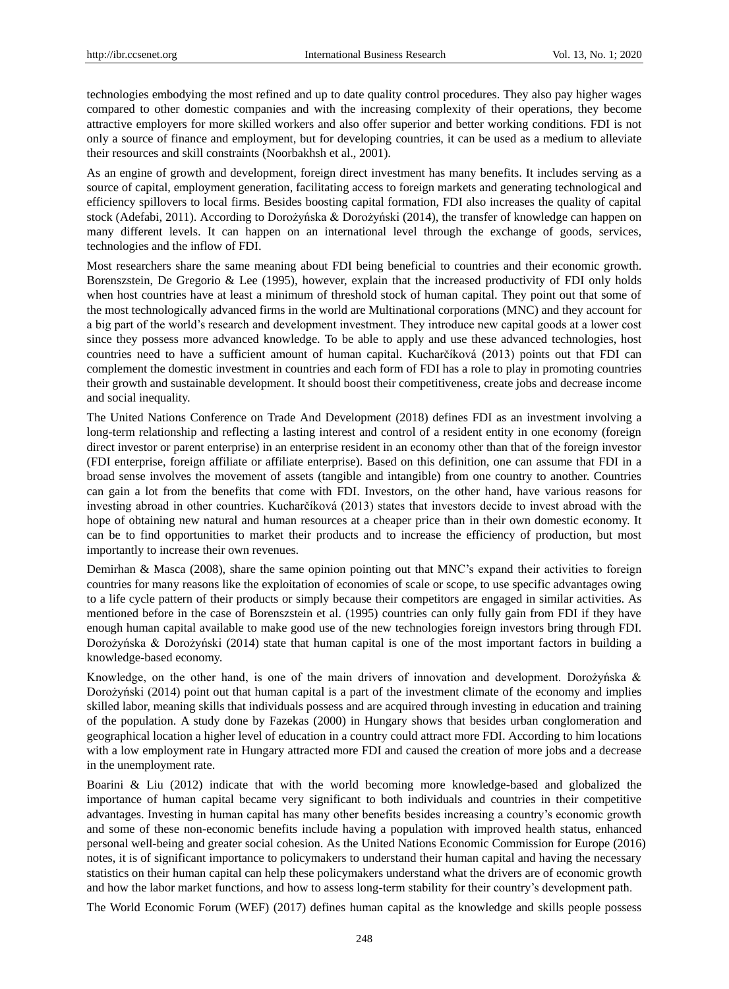technologies embodying the most refined and up to date quality control procedures. They also pay higher wages compared to other domestic companies and with the increasing complexity of their operations, they become attractive employers for more skilled workers and also offer superior and better working conditions. FDI is not only a source of finance and employment, but for developing countries, it can be used as a medium to alleviate their resources and skill constraints (Noorbakhsh et al., 2001).

As an engine of growth and development, foreign direct investment has many benefits. It includes serving as a source of capital, employment generation, facilitating access to foreign markets and generating technological and efficiency spillovers to local firms. Besides boosting capital formation, FDI also increases the quality of capital stock (Adefabi, 2011). According to Dorożyńska & Dorożyński (2014), the transfer of knowledge can happen on many different levels. It can happen on an international level through the exchange of goods, services, technologies and the inflow of FDI.

Most researchers share the same meaning about FDI being beneficial to countries and their economic growth. Borenszstein, De Gregorio & Lee (1995), however, explain that the increased productivity of FDI only holds when host countries have at least a minimum of threshold stock of human capital. They point out that some of the most technologically advanced firms in the world are Multinational corporations (MNC) and they account for a big part of the world's research and development investment. They introduce new capital goods at a lower cost since they possess more advanced knowledge. To be able to apply and use these advanced technologies, host countries need to have a sufficient amount of human capital. Kucharčíková (2013) points out that FDI can complement the domestic investment in countries and each form of FDI has a role to play in promoting countries their growth and sustainable development. It should boost their competitiveness, create jobs and decrease income and social inequality.

The United Nations Conference on Trade And Development (2018) defines FDI as an investment involving a long-term relationship and reflecting a lasting interest and control of a resident entity in one economy (foreign direct investor or parent enterprise) in an enterprise resident in an economy other than that of the foreign investor (FDI enterprise, foreign affiliate or affiliate enterprise). Based on this definition, one can assume that FDI in a broad sense involves the movement of assets (tangible and intangible) from one country to another. Countries can gain a lot from the benefits that come with FDI. Investors, on the other hand, have various reasons for investing abroad in other countries. Kucharčíková (2013) states that investors decide to invest abroad with the hope of obtaining new natural and human resources at a cheaper price than in their own domestic economy. It can be to find opportunities to market their products and to increase the efficiency of production, but most importantly to increase their own revenues.

Demirhan & Masca (2008), share the same opinion pointing out that MNC's expand their activities to foreign countries for many reasons like the exploitation of economies of scale or scope, to use specific advantages owing to a life cycle pattern of their products or simply because their competitors are engaged in similar activities. As mentioned before in the case of Borenszstein et al. (1995) countries can only fully gain from FDI if they have enough human capital available to make good use of the new technologies foreign investors bring through FDI. Dorożyńska & Dorożyński (2014) state that human capital is one of the most important factors in building a knowledge-based economy.

Knowledge, on the other hand, is one of the main drivers of innovation and development. Dorożyńska & Dorożyński (2014) point out that human capital is a part of the investment climate of the economy and implies skilled labor, meaning skills that individuals possess and are acquired through investing in education and training of the population. A study done by Fazekas (2000) in Hungary shows that besides urban conglomeration and geographical location a higher level of education in a country could attract more FDI. According to him locations with a low employment rate in Hungary attracted more FDI and caused the creation of more jobs and a decrease in the unemployment rate.

Boarini & Liu (2012) indicate that with the world becoming more knowledge-based and globalized the importance of human capital became very significant to both individuals and countries in their competitive advantages. Investing in human capital has many other benefits besides increasing a country's economic growth and some of these non-economic benefits include having a population with improved health status, enhanced personal well-being and greater social cohesion. As the United Nations Economic Commission for Europe (2016) notes, it is of significant importance to policymakers to understand their human capital and having the necessary statistics on their human capital can help these policymakers understand what the drivers are of economic growth and how the labor market functions, and how to assess long-term stability for their country's development path.

The World Economic Forum (WEF) (2017) defines human capital as the knowledge and skills people possess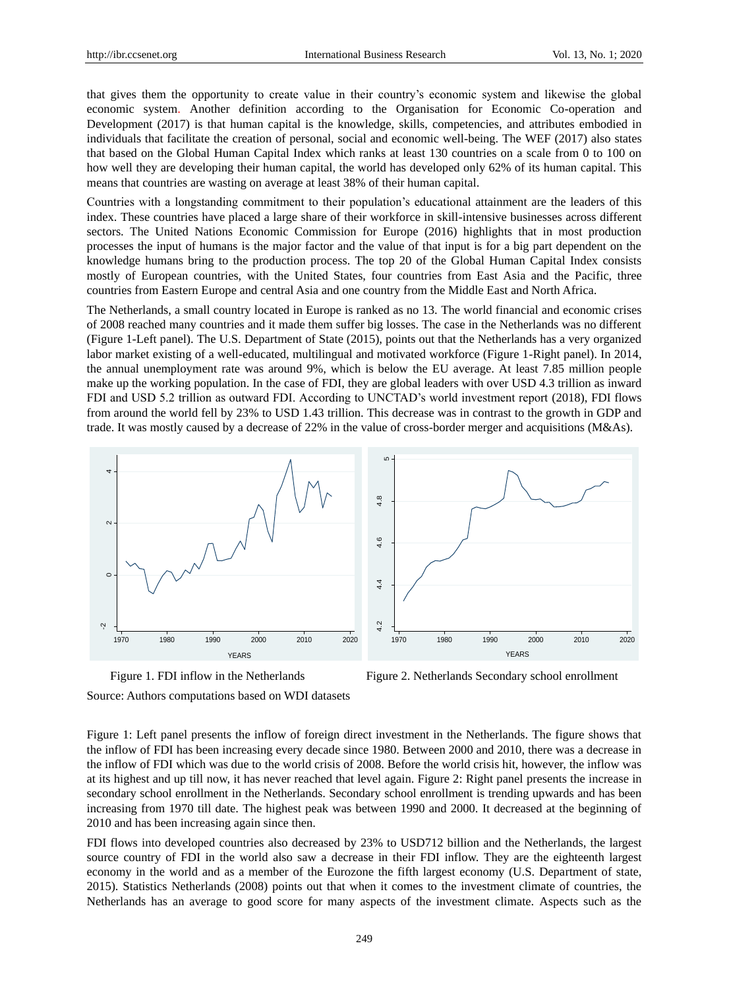that gives them the opportunity to create value in their country's economic system and likewise the global economic system. Another definition according to the Organisation for Economic Co-operation and Development (2017) is that human capital is the knowledge, skills, competencies, and attributes embodied in individuals that facilitate the creation of personal, social and economic well-being. The WEF (2017) also states that based on the Global Human Capital Index which ranks at least 130 countries on a scale from 0 to 100 on how well they are developing their human capital, the world has developed only 62% of its human capital. This means that countries are wasting on average at least 38% of their human capital.

Countries with a longstanding commitment to their population's educational attainment are the leaders of this index. These countries have placed a large share of their workforce in skill-intensive businesses across different sectors. The United Nations Economic Commission for Europe (2016) highlights that in most production processes the input of humans is the major factor and the value of that input is for a big part dependent on the knowledge humans bring to the production process. The top 20 of the Global Human Capital Index consists mostly of European countries, with the United States, four countries from East Asia and the Pacific, three countries from Eastern Europe and central Asia and one country from the Middle East and North Africa.

The Netherlands, a small country located in Europe is ranked as no 13. The world financial and economic crises of 2008 reached many countries and it made them suffer big losses. The case in the Netherlands was no different (Figure 1-Left panel). The U.S. Department of State (2015), points out that the Netherlands has a very organized labor market existing of a well-educated, multilingual and motivated workforce (Figure 1-Right panel). In 2014, the annual unemployment rate was around 9%, which is below the EU average. At least 7.85 million people make up the working population. In the case of FDI, they are global leaders with over USD 4.3 trillion as inward FDI and USD 5.2 trillion as outward FDI. According to UNCTAD's world investment report (2018), FDI flows from around the world fell by 23% to USD 1.43 trillion. This decrease was in contrast to the growth in GDP and trade. It was mostly caused by a decrease of 22% in the value of cross-border merger and acquisitions (M&As).



Figure 1. FDI inflow in the Netherlands Figure 2. Netherlands Secondary school enrollment

Source: Authors computations based on WDI datasets

Figure 1: Left panel presents the inflow of foreign direct investment in the Netherlands. The figure shows that the inflow of FDI has been increasing every decade since 1980. Between 2000 and 2010, there was a decrease in the inflow of FDI which was due to the world crisis of 2008. Before the world crisis hit, however, the inflow was at its highest and up till now, it has never reached that level again. Figure 2: Right panel presents the increase in secondary school enrollment in the Netherlands. Secondary school enrollment is trending upwards and has been increasing from 1970 till date. The highest peak was between 1990 and 2000. It decreased at the beginning of 2010 and has been increasing again since then.

FDI flows into developed countries also decreased by 23% to USD712 billion and the Netherlands, the largest source country of FDI in the world also saw a decrease in their FDI inflow. They are the eighteenth largest economy in the world and as a member of the Eurozone the fifth largest economy (U.S. Department of state, 2015). Statistics Netherlands (2008) points out that when it comes to the investment climate of countries, the Netherlands has an average to good score for many aspects of the investment climate. Aspects such as the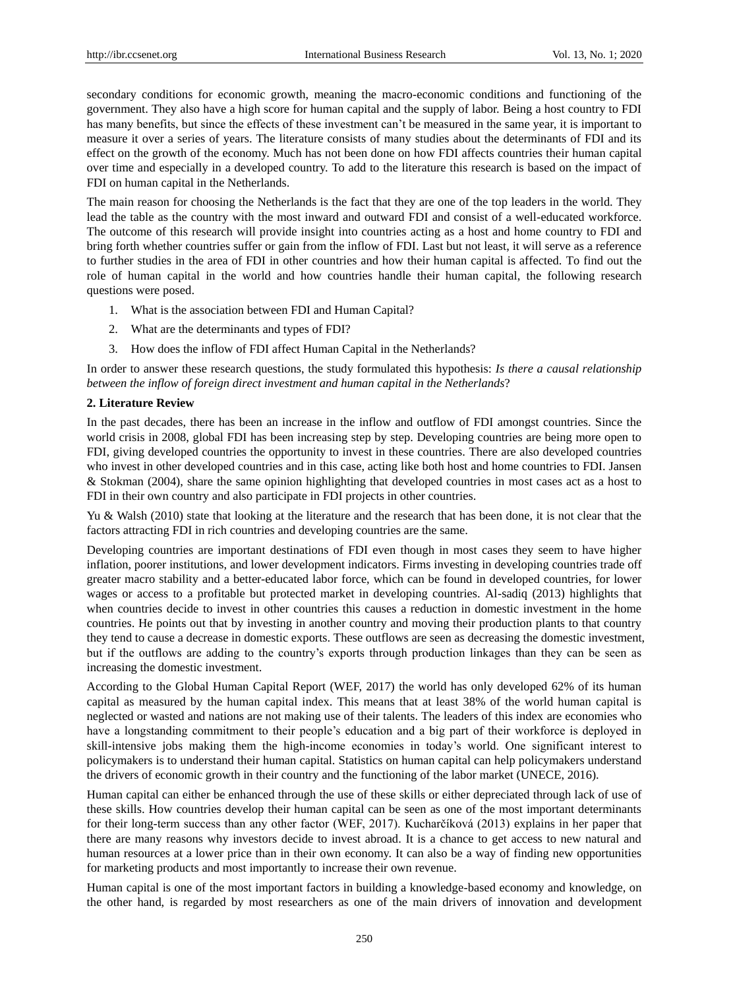secondary conditions for economic growth, meaning the macro-economic conditions and functioning of the government. They also have a high score for human capital and the supply of labor. Being a host country to FDI has many benefits, but since the effects of these investment can't be measured in the same year, it is important to measure it over a series of years. The literature consists of many studies about the determinants of FDI and its effect on the growth of the economy. Much has not been done on how FDI affects countries their human capital over time and especially in a developed country. To add to the literature this research is based on the impact of FDI on human capital in the Netherlands.

The main reason for choosing the Netherlands is the fact that they are one of the top leaders in the world. They lead the table as the country with the most inward and outward FDI and consist of a well-educated workforce. The outcome of this research will provide insight into countries acting as a host and home country to FDI and bring forth whether countries suffer or gain from the inflow of FDI. Last but not least, it will serve as a reference to further studies in the area of FDI in other countries and how their human capital is affected. To find out the role of human capital in the world and how countries handle their human capital, the following research questions were posed.

- 1. What is the association between FDI and Human Capital?
- 2. What are the determinants and types of FDI?
- 3. How does the inflow of FDI affect Human Capital in the Netherlands?

In order to answer these research questions, the study formulated this hypothesis: *Is there a causal relationship between the inflow of foreign direct investment and human capital in the Netherlands*?

## **2. Literature Review**

In the past decades, there has been an increase in the inflow and outflow of FDI amongst countries. Since the world crisis in 2008, global FDI has been increasing step by step. Developing countries are being more open to FDI, giving developed countries the opportunity to invest in these countries. There are also developed countries who invest in other developed countries and in this case, acting like both host and home countries to FDI. Jansen & Stokman (2004), share the same opinion highlighting that developed countries in most cases act as a host to FDI in their own country and also participate in FDI projects in other countries.

Yu & Walsh (2010) state that looking at the literature and the research that has been done, it is not clear that the factors attracting FDI in rich countries and developing countries are the same.

Developing countries are important destinations of FDI even though in most cases they seem to have higher inflation, poorer institutions, and lower development indicators. Firms investing in developing countries trade off greater macro stability and a better-educated labor force, which can be found in developed countries, for lower wages or access to a profitable but protected market in developing countries. Al-sadiq (2013) highlights that when countries decide to invest in other countries this causes a reduction in domestic investment in the home countries. He points out that by investing in another country and moving their production plants to that country they tend to cause a decrease in domestic exports. These outflows are seen as decreasing the domestic investment, but if the outflows are adding to the country's exports through production linkages than they can be seen as increasing the domestic investment.

According to the Global Human Capital Report (WEF, 2017) the world has only developed 62% of its human capital as measured by the human capital index. This means that at least 38% of the world human capital is neglected or wasted and nations are not making use of their talents. The leaders of this index are economies who have a longstanding commitment to their people's education and a big part of their workforce is deployed in skill-intensive jobs making them the high-income economies in today's world. One significant interest to policymakers is to understand their human capital. Statistics on human capital can help policymakers understand the drivers of economic growth in their country and the functioning of the labor market (UNECE, 2016).

Human capital can either be enhanced through the use of these skills or either depreciated through lack of use of these skills. How countries develop their human capital can be seen as one of the most important determinants for their long-term success than any other factor (WEF, 2017). Kucharčíková (2013) explains in her paper that there are many reasons why investors decide to invest abroad. It is a chance to get access to new natural and human resources at a lower price than in their own economy. It can also be a way of finding new opportunities for marketing products and most importantly to increase their own revenue.

Human capital is one of the most important factors in building a knowledge-based economy and knowledge, on the other hand, is regarded by most researchers as one of the main drivers of innovation and development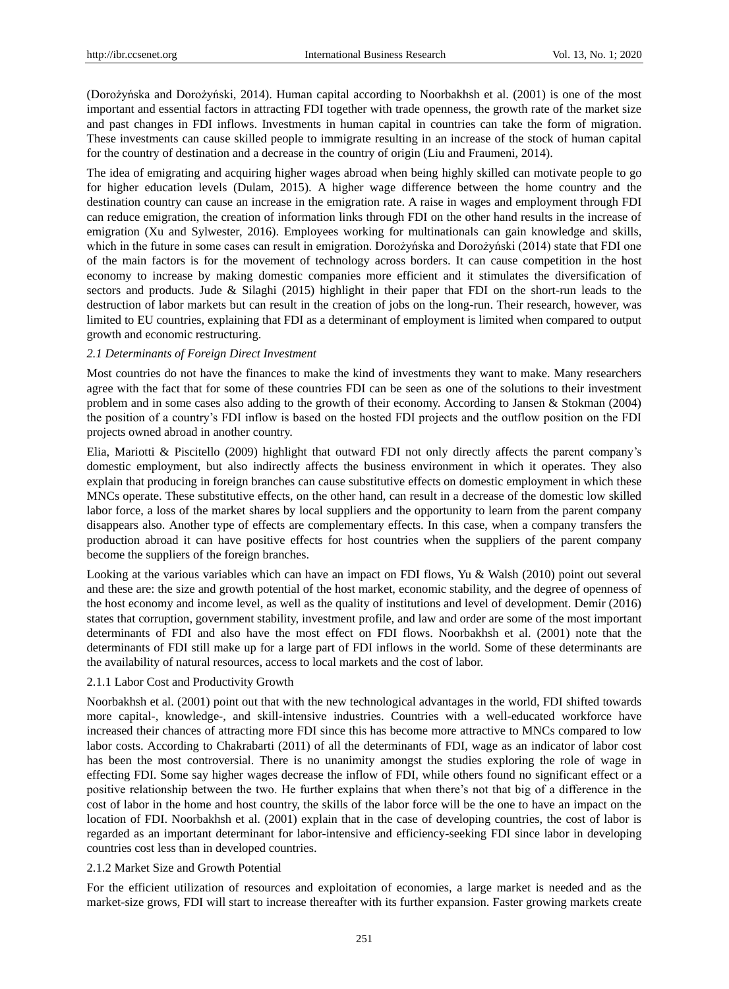(Dorożyńska and Dorożyński, 2014). Human capital according to Noorbakhsh et al. (2001) is one of the most important and essential factors in attracting FDI together with trade openness, the growth rate of the market size and past changes in FDI inflows. Investments in human capital in countries can take the form of migration. These investments can cause skilled people to immigrate resulting in an increase of the stock of human capital for the country of destination and a decrease in the country of origin (Liu and Fraumeni, 2014).

The idea of emigrating and acquiring higher wages abroad when being highly skilled can motivate people to go for higher education levels (Dulam, 2015). A higher wage difference between the home country and the destination country can cause an increase in the emigration rate. A raise in wages and employment through FDI can reduce emigration, the creation of information links through FDI on the other hand results in the increase of emigration (Xu and Sylwester, 2016). Employees working for multinationals can gain knowledge and skills, which in the future in some cases can result in emigration. Dorożyńska and Dorożyński (2014) state that FDI one of the main factors is for the movement of technology across borders. It can cause competition in the host economy to increase by making domestic companies more efficient and it stimulates the diversification of sectors and products. Jude & Silaghi (2015) highlight in their paper that FDI on the short-run leads to the destruction of labor markets but can result in the creation of jobs on the long-run. Their research, however, was limited to EU countries, explaining that FDI as a determinant of employment is limited when compared to output growth and economic restructuring.

## *2.1 Determinants of Foreign Direct Investment*

Most countries do not have the finances to make the kind of investments they want to make. Many researchers agree with the fact that for some of these countries FDI can be seen as one of the solutions to their investment problem and in some cases also adding to the growth of their economy. According to Jansen & Stokman (2004) the position of a country's FDI inflow is based on the hosted FDI projects and the outflow position on the FDI projects owned abroad in another country.

Elia, Mariotti & Piscitello (2009) highlight that outward FDI not only directly affects the parent company's domestic employment, but also indirectly affects the business environment in which it operates. They also explain that producing in foreign branches can cause substitutive effects on domestic employment in which these MNCs operate. These substitutive effects, on the other hand, can result in a decrease of the domestic low skilled labor force, a loss of the market shares by local suppliers and the opportunity to learn from the parent company disappears also. Another type of effects are complementary effects. In this case, when a company transfers the production abroad it can have positive effects for host countries when the suppliers of the parent company become the suppliers of the foreign branches.

Looking at the various variables which can have an impact on FDI flows, Yu & Walsh (2010) point out several and these are: the size and growth potential of the host market, economic stability, and the degree of openness of the host economy and income level, as well as the quality of institutions and level of development. Demir (2016) states that corruption, government stability, investment profile, and law and order are some of the most important determinants of FDI and also have the most effect on FDI flows. Noorbakhsh et al. (2001) note that the determinants of FDI still make up for a large part of FDI inflows in the world. Some of these determinants are the availability of natural resources, access to local markets and the cost of labor.

## 2.1.1 Labor Cost and Productivity Growth

Noorbakhsh et al. (2001) point out that with the new technological advantages in the world, FDI shifted towards more capital-, knowledge-, and skill-intensive industries. Countries with a well-educated workforce have increased their chances of attracting more FDI since this has become more attractive to MNCs compared to low labor costs. According to Chakrabarti (2011) of all the determinants of FDI, wage as an indicator of labor cost has been the most controversial. There is no unanimity amongst the studies exploring the role of wage in effecting FDI. Some say higher wages decrease the inflow of FDI, while others found no significant effect or a positive relationship between the two. He further explains that when there's not that big of a difference in the cost of labor in the home and host country, the skills of the labor force will be the one to have an impact on the location of FDI. Noorbakhsh et al. (2001) explain that in the case of developing countries, the cost of labor is regarded as an important determinant for labor-intensive and efficiency-seeking FDI since labor in developing countries cost less than in developed countries.

## 2.1.2 Market Size and Growth Potential

For the efficient utilization of resources and exploitation of economies, a large market is needed and as the market-size grows, FDI will start to increase thereafter with its further expansion. Faster growing markets create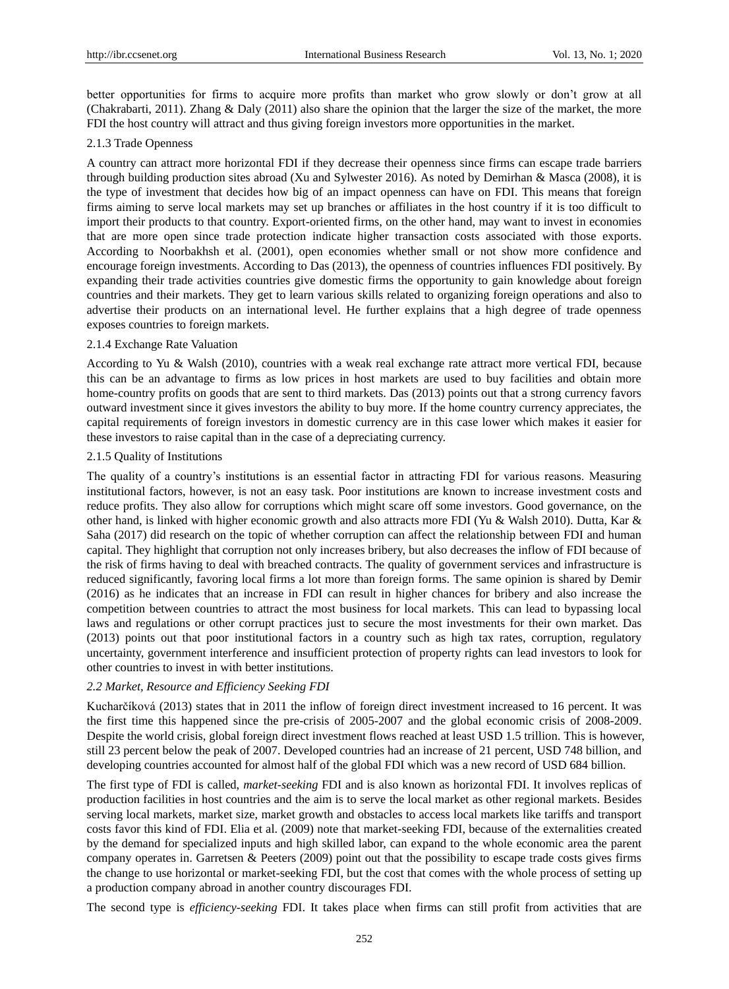better opportunities for firms to acquire more profits than market who grow slowly or don't grow at all (Chakrabarti, 2011). Zhang & Daly (2011) also share the opinion that the larger the size of the market, the more FDI the host country will attract and thus giving foreign investors more opportunities in the market.

## 2.1.3 Trade Openness

A country can attract more horizontal FDI if they decrease their openness since firms can escape trade barriers through building production sites abroad (Xu and Sylwester 2016). As noted by Demirhan & Masca (2008), it is the type of investment that decides how big of an impact openness can have on FDI. This means that foreign firms aiming to serve local markets may set up branches or affiliates in the host country if it is too difficult to import their products to that country. Export-oriented firms, on the other hand, may want to invest in economies that are more open since trade protection indicate higher transaction costs associated with those exports. According to Noorbakhsh et al. (2001), open economies whether small or not show more confidence and encourage foreign investments. According to Das (2013), the openness of countries influences FDI positively. By expanding their trade activities countries give domestic firms the opportunity to gain knowledge about foreign countries and their markets. They get to learn various skills related to organizing foreign operations and also to advertise their products on an international level. He further explains that a high degree of trade openness exposes countries to foreign markets.

## 2.1.4 Exchange Rate Valuation

According to Yu & Walsh (2010), countries with a weak real exchange rate attract more vertical FDI, because this can be an advantage to firms as low prices in host markets are used to buy facilities and obtain more home-country profits on goods that are sent to third markets. Das (2013) points out that a strong currency favors outward investment since it gives investors the ability to buy more. If the home country currency appreciates, the capital requirements of foreign investors in domestic currency are in this case lower which makes it easier for these investors to raise capital than in the case of a depreciating currency.

## 2.1.5 Quality of Institutions

The quality of a country's institutions is an essential factor in attracting FDI for various reasons. Measuring institutional factors, however, is not an easy task. Poor institutions are known to increase investment costs and reduce profits. They also allow for corruptions which might scare off some investors. Good governance, on the other hand, is linked with higher economic growth and also attracts more FDI (Yu & Walsh 2010). Dutta, Kar & Saha (2017) did research on the topic of whether corruption can affect the relationship between FDI and human capital. They highlight that corruption not only increases bribery, but also decreases the inflow of FDI because of the risk of firms having to deal with breached contracts. The quality of government services and infrastructure is reduced significantly, favoring local firms a lot more than foreign forms. The same opinion is shared by Demir (2016) as he indicates that an increase in FDI can result in higher chances for bribery and also increase the competition between countries to attract the most business for local markets. This can lead to bypassing local laws and regulations or other corrupt practices just to secure the most investments for their own market. Das (2013) points out that poor institutional factors in a country such as high tax rates, corruption, regulatory uncertainty, government interference and insufficient protection of property rights can lead investors to look for other countries to invest in with better institutions.

# *2.2 Market, Resource and Efficiency Seeking FDI*

Kucharčíková (2013) states that in 2011 the inflow of foreign direct investment increased to 16 percent. It was the first time this happened since the pre-crisis of 2005-2007 and the global economic crisis of 2008-2009. Despite the world crisis, global foreign direct investment flows reached at least USD 1.5 trillion. This is however, still 23 percent below the peak of 2007. Developed countries had an increase of 21 percent, USD 748 billion, and developing countries accounted for almost half of the global FDI which was a new record of USD 684 billion.

The first type of FDI is called, *market-seeking* FDI and is also known as horizontal FDI. It involves replicas of production facilities in host countries and the aim is to serve the local market as other regional markets. Besides serving local markets, market size, market growth and obstacles to access local markets like tariffs and transport costs favor this kind of FDI. Elia et al. (2009) note that market-seeking FDI, because of the externalities created by the demand for specialized inputs and high skilled labor, can expand to the whole economic area the parent company operates in. Garretsen & Peeters (2009) point out that the possibility to escape trade costs gives firms the change to use horizontal or market-seeking FDI, but the cost that comes with the whole process of setting up a production company abroad in another country discourages FDI.

The second type is *efficiency-seeking* FDI. It takes place when firms can still profit from activities that are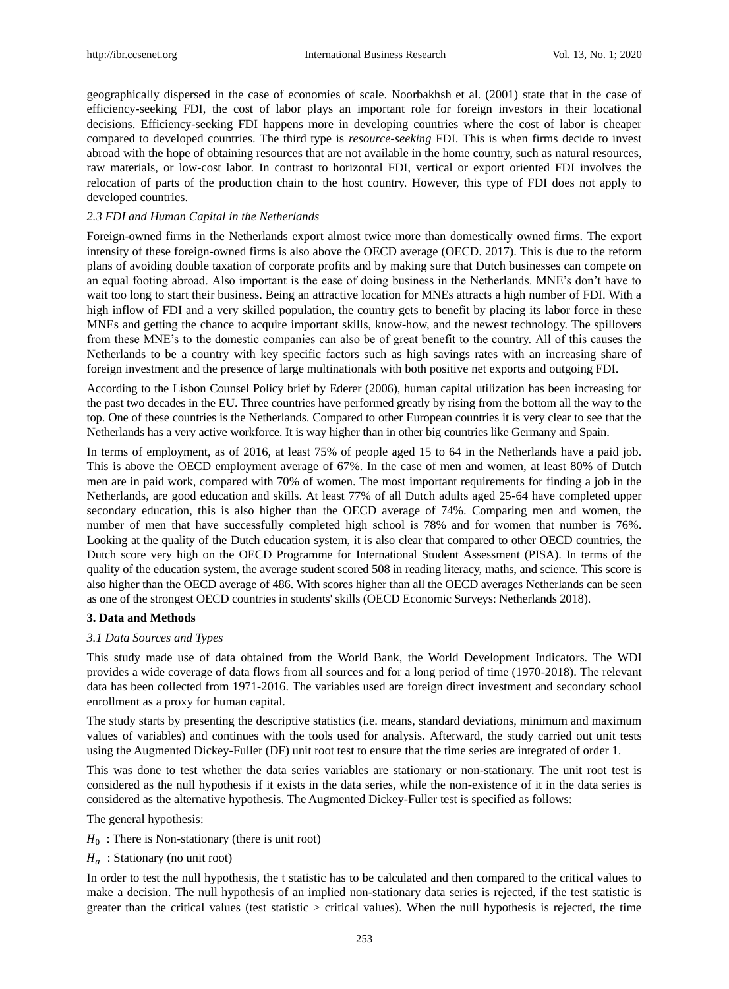geographically dispersed in the case of economies of scale. Noorbakhsh et al. (2001) state that in the case of efficiency-seeking FDI, the cost of labor plays an important role for foreign investors in their locational decisions. Efficiency-seeking FDI happens more in developing countries where the cost of labor is cheaper compared to developed countries. The third type is *resource-seeking* FDI. This is when firms decide to invest abroad with the hope of obtaining resources that are not available in the home country, such as natural resources, raw materials, or low-cost labor. In contrast to horizontal FDI, vertical or export oriented FDI involves the relocation of parts of the production chain to the host country. However, this type of FDI does not apply to developed countries.

# *2.3 FDI and Human Capital in the Netherlands*

Foreign-owned firms in the Netherlands export almost twice more than domestically owned firms. The export intensity of these foreign-owned firms is also above the OECD average (OECD. 2017). This is due to the reform plans of avoiding double taxation of corporate profits and by making sure that Dutch businesses can compete on an equal footing abroad. Also important is the ease of doing business in the Netherlands. MNE's don't have to wait too long to start their business. Being an attractive location for MNEs attracts a high number of FDI. With a high inflow of FDI and a very skilled population, the country gets to benefit by placing its labor force in these MNEs and getting the chance to acquire important skills, know-how, and the newest technology. The spillovers from these MNE's to the domestic companies can also be of great benefit to the country. All of this causes the Netherlands to be a country with key specific factors such as high savings rates with an increasing share of foreign investment and the presence of large multinationals with both positive net exports and outgoing FDI.

According to the Lisbon Counsel Policy brief by Ederer (2006), human capital utilization has been increasing for the past two decades in the EU. Three countries have performed greatly by rising from the bottom all the way to the top. One of these countries is the Netherlands. Compared to other European countries it is very clear to see that the Netherlands has a very active workforce. It is way higher than in other big countries like Germany and Spain.

In terms of employment, as of 2016, at least 75% of people aged 15 to 64 in the Netherlands have a paid job. This is above the OECD employment average of 67%. In the case of men and women, at least 80% of Dutch men are in paid work, compared with 70% of women. The most important requirements for finding a job in the Netherlands, are good education and skills. At least 77% of all Dutch adults aged 25-64 have completed upper secondary education, this is also higher than the OECD average of 74%. Comparing men and women, the number of men that have successfully completed high school is 78% and for women that number is 76%. Looking at the quality of the Dutch education system, it is also clear that compared to other OECD countries, the Dutch score very high on the OECD Programme for International Student Assessment (PISA). In terms of the quality of the education system, the average student scored 508 in reading literacy, maths, and science. This score is also higher than the OECD average of 486. With scores higher than all the OECD averages Netherlands can be seen as one of the strongest OECD countries in students' skills (OECD Economic Surveys: Netherlands 2018).

## **3. Data and Methods**

## *3.1 Data Sources and Types*

This study made use of data obtained from the World Bank, the World Development Indicators. The WDI provides a wide coverage of data flows from all sources and for a long period of time (1970-2018). The relevant data has been collected from 1971-2016. The variables used are foreign direct investment and secondary school enrollment as a proxy for human capital.

The study starts by presenting the descriptive statistics (i.e. means, standard deviations, minimum and maximum values of variables) and continues with the tools used for analysis. Afterward, the study carried out unit tests using the Augmented Dickey-Fuller (DF) unit root test to ensure that the time series are integrated of order 1.

This was done to test whether the data series variables are stationary or non-stationary. The unit root test is considered as the null hypothesis if it exists in the data series, while the non-existence of it in the data series is considered as the alternative hypothesis. The Augmented Dickey-Fuller test is specified as follows:

The general hypothesis:

- $H_0$ : There is Non-stationary (there is unit root)
- $H_a$ : Stationary (no unit root)

In order to test the null hypothesis, the t statistic has to be calculated and then compared to the critical values to make a decision. The null hypothesis of an implied non-stationary data series is rejected, if the test statistic is greater than the critical values (test statistic  $>$  critical values). When the null hypothesis is rejected, the time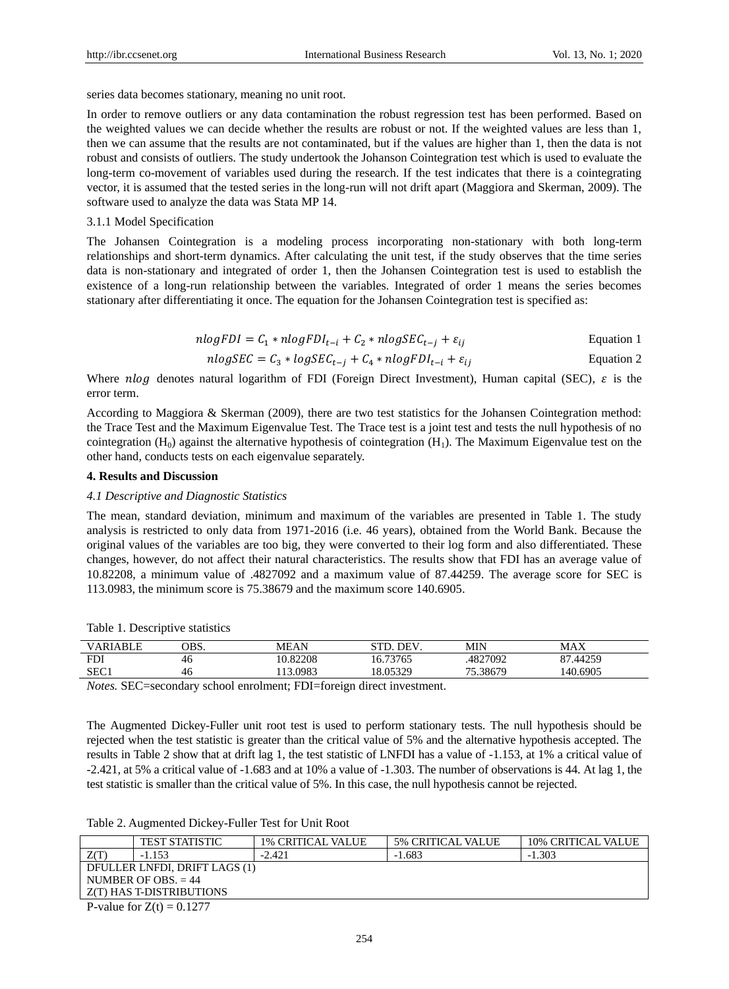series data becomes stationary, meaning no unit root.

In order to remove outliers or any data contamination the robust regression test has been performed. Based on the weighted values we can decide whether the results are robust or not. If the weighted values are less than 1, then we can assume that the results are not contaminated, but if the values are higher than 1, then the data is not robust and consists of outliers. The study undertook the Johanson Cointegration test which is used to evaluate the long-term co-movement of variables used during the research. If the test indicates that there is a cointegrating vector, it is assumed that the tested series in the long-run will not drift apart (Maggiora and Skerman, 2009). The software used to analyze the data was Stata MP 14.

## 3.1.1 Model Specification

The Johansen Cointegration is a modeling process incorporating non-stationary with both long-term relationships and short-term dynamics. After calculating the unit test, if the study observes that the time series data is non-stationary and integrated of order 1, then the Johansen Cointegration test is used to establish the existence of a long-run relationship between the variables. Integrated of order 1 means the series becomes stationary after differentiating it once. The equation for the Johansen Cointegration test is specified as:

$$
nlogFDI = C_1 * nlogFDI_{t-i} + C_2 * nlogSEC_{t-j} + \varepsilon_{ij}
$$
 Equation 1

$$
nlogSEC = C_3 * logSEC_{t-j} + C_4 * nlogFDI_{t-i} + \varepsilon_{ij}
$$
 Equation 2

Where nlog denotes natural logarithm of FDI (Foreign Direct Investment), Human capital (SEC),  $\varepsilon$  is the error term.

According to Maggiora & Skerman (2009), there are two test statistics for the Johansen Cointegration method: the Trace Test and the Maximum Eigenvalue Test. The Trace test is a joint test and tests the null hypothesis of no cointegration  $(H_0)$  against the alternative hypothesis of cointegration  $(H_1)$ . The Maximum Eigenvalue test on the other hand, conducts tests on each eigenvalue separately.

## **4. Results and Discussion**

#### *4.1 Descriptive and Diagnostic Statistics*

The mean, standard deviation, minimum and maximum of the variables are presented in Table 1. The study analysis is restricted to only data from 1971-2016 (i.e. 46 years), obtained from the World Bank. Because the original values of the variables are too big, they were converted to their log form and also differentiated. These changes, however, do not affect their natural characteristics. The results show that FDI has an average value of 10.82208, a minimum value of .4827092 and a maximum value of 87.44259. The average score for SEC is 113.0983, the minimum score is 75.38679 and the maximum score 140.6905.

|  |  | Table 1. Descriptive statistics |
|--|--|---------------------------------|
|  |  |                                 |

| <b>VARIABLE</b> | OBS. | MEAN     | <b>DEV</b> | MIN      | MAX      |  |
|-----------------|------|----------|------------|----------|----------|--|
| <b>FDI</b>      | 46   | 10.82208 | 16.73765   | 4827092  | 87.44259 |  |
| SEC1            | 46   | 13.0983  | 18.05329   | 75.38679 | 140.6905 |  |
|                 |      |          |            |          |          |  |

*Notes.* SEC=secondary school enrolment; FDI=foreign direct investment.

The Augmented Dickey-Fuller unit root test is used to perform stationary tests. The null hypothesis should be rejected when the test statistic is greater than the critical value of 5% and the alternative hypothesis accepted. The results in Table 2 show that at drift lag 1, the test statistic of LNFDI has a value of -1.153, at 1% a critical value of -2.421, at 5% a critical value of -1.683 and at 10% a value of -1.303. The number of observations is 44. At lag 1, the test statistic is smaller than the critical value of 5%. In this case, the null hypothesis cannot be rejected.

Table 2. Augmented Dickey-Fuller Test for Unit Root

|                          | <b>TEST STATISTIC</b>             | <b>1% CRITICAL VALUE</b> | <b>5% CRITICAL VALUE</b> | <b>10% CRITICAL VALUE</b> |
|--------------------------|-----------------------------------|--------------------------|--------------------------|---------------------------|
| Z(T)                     | $-1.153$                          | $-2.421$                 | $-1.683$                 | $-1.303$                  |
|                          | DFULLER LNFDI, DRIFT LAGS (1)     |                          |                          |                           |
|                          | NUMBER OF OBS. $= 44$             |                          |                          |                           |
| Z(T) HAS T-DISTRIBUTIONS |                                   |                          |                          |                           |
|                          | $P = 1$ $P = 7$ $\omega = 0.1277$ |                          |                          |                           |

P-value for  $Z(t) = 0.1277$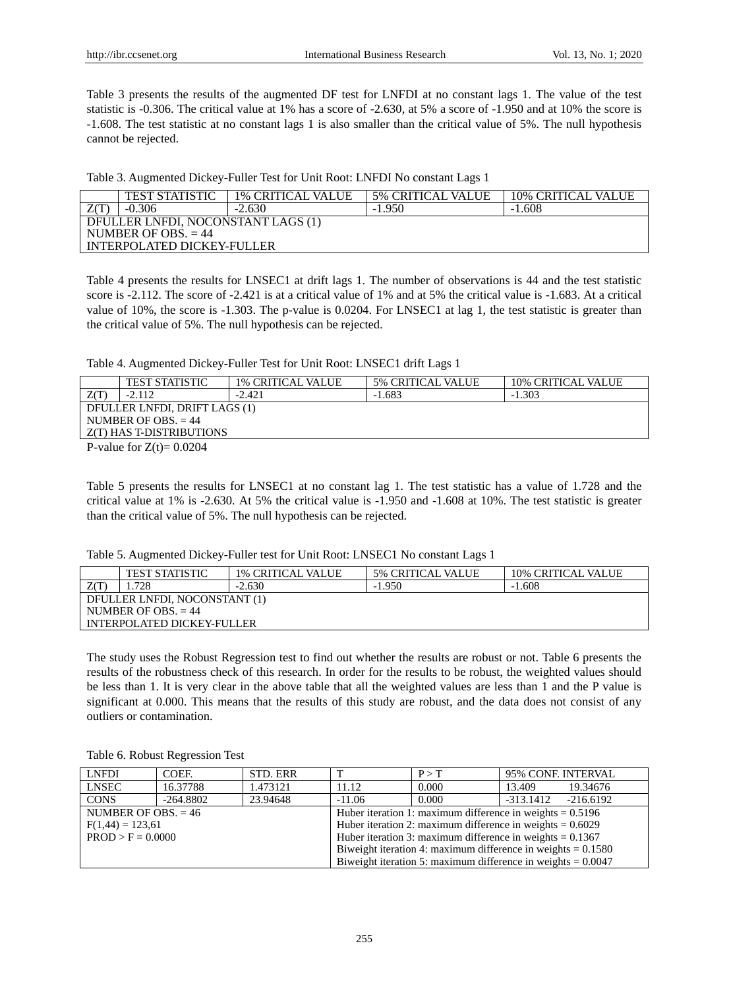Table 3 presents the results of the augmented DF test for LNFDI at no constant lags 1. The value of the test statistic is -0.306. The critical value at 1% has a score of -2.630, at 5% a score of -1.950 and at 10% the score is -1.608. The test statistic at no constant lags 1 is also smaller than the critical value of 5%. The null hypothesis cannot be rejected.

| Table 3. Augmented Dickey-Fuller Test for Unit Root: LNFDI No constant Lags 1 |  |  |  |  |  |
|-------------------------------------------------------------------------------|--|--|--|--|--|
|-------------------------------------------------------------------------------|--|--|--|--|--|

|                                    | <b>TEST STATISTIC</b> | <b>1% CRITICAL VALUE</b> | <b>5% CRITICAL VALUE</b> | <b>10% CRITICAL VALUE</b> |  |  |
|------------------------------------|-----------------------|--------------------------|--------------------------|---------------------------|--|--|
|                                    | $-0.306$              | $-2.630$                 | $-1.950$                 | $-1.608$                  |  |  |
| DFULLER LNFDI, NOCONSTANT LAGS (1) |                       |                          |                          |                           |  |  |
| NUMBER OF OBS. $= 44$              |                       |                          |                          |                           |  |  |
| INTERPOLATED DICKEY-FULLER         |                       |                          |                          |                           |  |  |

Table 4 presents the results for LNSEC1 at drift lags 1. The number of observations is 44 and the test statistic score is -2.112. The score of -2.421 is at a critical value of 1% and at 5% the critical value is -1.683. At a critical value of 10%, the score is -1.303. The p-value is 0.0204. For LNSEC1 at lag 1, the test statistic is greater than the critical value of 5%. The null hypothesis can be rejected.

Table 4. Augmented Dickey-Fuller Test for Unit Root: LNSEC1 drift Lags 1

|                                  | <b>TEST STATISTIC</b>       | <b>1% CRITICAL VALUE</b> | <b>5% CRITICAL VALUE</b> | <b>10% CRITICAL VALUE</b> |  |
|----------------------------------|-----------------------------|--------------------------|--------------------------|---------------------------|--|
|                                  | $-2.112$                    | $-2.421$                 | $-1.683$                 | $-1.303$                  |  |
| DFULLER LNFDI, DRIFT LAGS (1)    |                             |                          |                          |                           |  |
| NUMBER OF OBS. $= 44$            |                             |                          |                          |                           |  |
| <b>Z</b> (T) HAS T-DISTRIBUTIONS |                             |                          |                          |                           |  |
|                                  | P-value for $Z(t) = 0.0204$ |                          |                          |                           |  |

P-value for  $Z(t) = 0.0204$ 

Table 5 presents the results for LNSEC1 at no constant lag 1. The test statistic has a value of 1.728 and the critical value at 1% is -2.630. At 5% the critical value is -1.950 and -1.608 at 10%. The test statistic is greater than the critical value of 5%. The null hypothesis can be rejected.

| Table 5. Augmented Dickey-Fuller test for Unit Root: LNSEC1 No constant Lags 1 |  |  |  |
|--------------------------------------------------------------------------------|--|--|--|
|                                                                                |  |  |  |

|                               | <b>TEST STATISTIC</b> | <b>1% CRITICAL VALUE</b> | <b>5% CRITICAL VALUE</b> | <b>10% CRITICAL VALUE</b> |  |
|-------------------------------|-----------------------|--------------------------|--------------------------|---------------------------|--|
|                               | 1.728                 | $-2.630$                 | $-1.950$                 | $-1.608$                  |  |
| DFULLER LNFDI, NOCONSTANT (1) |                       |                          |                          |                           |  |
| NUMBER OF OBS. $= 44$         |                       |                          |                          |                           |  |
| INTERPOLATED DICKEY-FULLER    |                       |                          |                          |                           |  |

The study uses the Robust Regression test to find out whether the results are robust or not. Table 6 presents the results of the robustness check of this research. In order for the results to be robust, the weighted values should be less than 1. It is very clear in the above table that all the weighted values are less than 1 and the P value is significant at 0.000. This means that the results of this study are robust, and the data does not consist of any outliers or contamination.

Table 6. Robust Regression Test

| LNFDI                                                                             | COEF.                                                                              | STD. ERR                                                       |                                                                | P > T | 95% CONF. INTERVAL |             |
|-----------------------------------------------------------------------------------|------------------------------------------------------------------------------------|----------------------------------------------------------------|----------------------------------------------------------------|-------|--------------------|-------------|
| <b>LNSEC</b>                                                                      | 16.37788                                                                           | 1.473121                                                       | 11.12                                                          | 0.000 | 13.409             | 19.34676    |
| <b>CONS</b>                                                                       | $-264.8802$                                                                        | 23.94648                                                       | $-11.06$                                                       | 0.000 | -313.1412          | $-216.6192$ |
| NUMBER OF OBS. $= 46$                                                             |                                                                                    |                                                                | Huber iteration 1: maximum difference in weights $= 0.5196$    |       |                    |             |
| Huber iteration 2: maximum difference in weights $= 0.6029$<br>$F(1,44) = 123,61$ |                                                                                    |                                                                |                                                                |       |                    |             |
|                                                                                   | Huber iteration 3: maximum difference in weights $= 0.1367$<br>$PROD > F = 0.0000$ |                                                                |                                                                |       |                    |             |
|                                                                                   |                                                                                    | Biweight iteration 4: maximum difference in weights $= 0.1580$ |                                                                |       |                    |             |
|                                                                                   |                                                                                    |                                                                | Biweight iteration 5: maximum difference in weights $= 0.0047$ |       |                    |             |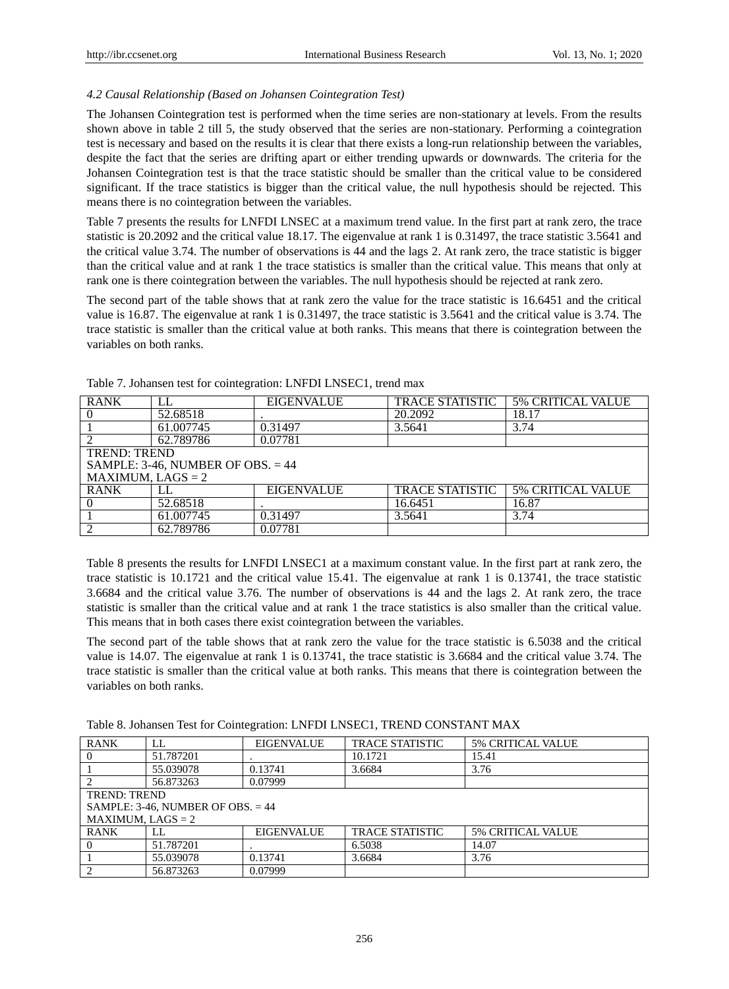# *4.2 Causal Relationship (Based on Johansen Cointegration Test)*

The Johansen Cointegration test is performed when the time series are non-stationary at levels. From the results shown above in table 2 till 5, the study observed that the series are non-stationary. Performing a cointegration test is necessary and based on the results it is clear that there exists a long-run relationship between the variables, despite the fact that the series are drifting apart or either trending upwards or downwards. The criteria for the Johansen Cointegration test is that the trace statistic should be smaller than the critical value to be considered significant. If the trace statistics is bigger than the critical value, the null hypothesis should be rejected. This means there is no cointegration between the variables.

Table 7 presents the results for LNFDI LNSEC at a maximum trend value. In the first part at rank zero, the trace statistic is 20.2092 and the critical value 18.17. The eigenvalue at rank 1 is 0.31497, the trace statistic 3.5641 and the critical value 3.74. The number of observations is 44 and the lags 2. At rank zero, the trace statistic is bigger than the critical value and at rank 1 the trace statistics is smaller than the critical value. This means that only at rank one is there cointegration between the variables. The null hypothesis should be rejected at rank zero.

The second part of the table shows that at rank zero the value for the trace statistic is 16.6451 and the critical value is 16.87. The eigenvalue at rank 1 is 0.31497, the trace statistic is 3.5641 and the critical value is 3.74. The trace statistic is smaller than the critical value at both ranks. This means that there is cointegration between the variables on both ranks.

| <b>RANK</b>         | LL                                  | <b>EIGENVALUE</b> | <b>TRACE STATISTIC</b> | <b>5% CRITICAL VALUE</b> |  |  |
|---------------------|-------------------------------------|-------------------|------------------------|--------------------------|--|--|
|                     | 52.68518                            |                   | 20.2092                | 18.17                    |  |  |
|                     | 61.007745                           | 0.31497           | 3.5641                 | 3.74                     |  |  |
|                     | 62.789786                           | 0.07781           |                        |                          |  |  |
| <b>TREND: TREND</b> |                                     |                   |                        |                          |  |  |
|                     | SAMPLE: 3-46, NUMBER OF OBS. $= 44$ |                   |                        |                          |  |  |
| $MAXIMUM, LAGS = 2$ |                                     |                   |                        |                          |  |  |
| <b>RANK</b>         |                                     | <b>EIGENVALUE</b> | <b>TRACE STATISTIC</b> | <b>5% CRITICAL VALUE</b> |  |  |
|                     | 52.68518                            |                   | 16.6451                | 16.87                    |  |  |
|                     | 61.007745                           | 0.31497           | 3.5641                 | 3.74                     |  |  |
|                     | 62.789786                           | 0.07781           |                        |                          |  |  |

Table 7. Johansen test for cointegration: LNFDI LNSEC1, trend max

Table 8 presents the results for LNFDI LNSEC1 at a maximum constant value. In the first part at rank zero, the trace statistic is 10.1721 and the critical value 15.41. The eigenvalue at rank 1 is 0.13741, the trace statistic 3.6684 and the critical value 3.76. The number of observations is 44 and the lags 2. At rank zero, the trace statistic is smaller than the critical value and at rank 1 the trace statistics is also smaller than the critical value. This means that in both cases there exist cointegration between the variables.

The second part of the table shows that at rank zero the value for the trace statistic is 6.5038 and the critical value is 14.07. The eigenvalue at rank 1 is 0.13741, the trace statistic is 3.6684 and the critical value 3.74. The trace statistic is smaller than the critical value at both ranks. This means that there is cointegration between the variables on both ranks.

|  |  | Table 8. Johansen Test for Cointegration: LNFDI LNSEC1, TREND CONSTANT MAX |
|--|--|----------------------------------------------------------------------------|
|  |  |                                                                            |

| <b>RANK</b>                         | LL        | <b>EIGENVALUE</b> | <b>TRACE STATISTIC</b> | <b>5% CRITICAL VALUE</b> |
|-------------------------------------|-----------|-------------------|------------------------|--------------------------|
|                                     | 51.787201 |                   | 10.1721                | 15.41                    |
|                                     | 55.039078 | 0.13741           | 3.6684                 | 3.76                     |
|                                     | 56.873263 | 0.07999           |                        |                          |
| <b>TREND: TREND</b>                 |           |                   |                        |                          |
| SAMPLE: 3-46, NUMBER OF OBS. $= 44$ |           |                   |                        |                          |
| $MAXIMUM, LAGS = 2$                 |           |                   |                        |                          |
| <b>RANK</b>                         | LL.       | <b>EIGENVALUE</b> | <b>TRACE STATISTIC</b> | <b>5% CRITICAL VALUE</b> |
|                                     | 51.787201 |                   | 6.5038                 | 14.07                    |
|                                     | 55.039078 | 0.13741           | 3.6684                 | 3.76                     |
| $\mathcal{D}_{\mathcal{L}}$         | 56.873263 | 0.07999           |                        |                          |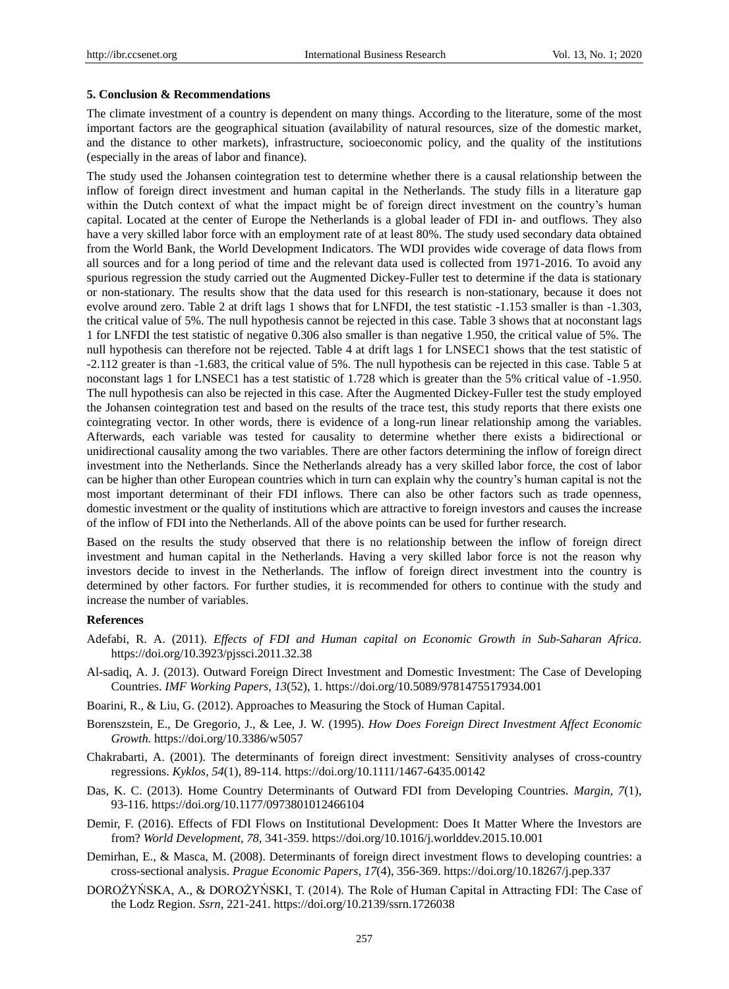## **5. Conclusion & Recommendations**

The climate investment of a country is dependent on many things. According to the literature, some of the most important factors are the geographical situation (availability of natural resources, size of the domestic market, and the distance to other markets), infrastructure, socioeconomic policy, and the quality of the institutions (especially in the areas of labor and finance).

The study used the Johansen cointegration test to determine whether there is a causal relationship between the inflow of foreign direct investment and human capital in the Netherlands. The study fills in a literature gap within the Dutch context of what the impact might be of foreign direct investment on the country's human capital. Located at the center of Europe the Netherlands is a global leader of FDI in- and outflows. They also have a very skilled labor force with an employment rate of at least 80%. The study used secondary data obtained from the World Bank, the World Development Indicators. The WDI provides wide coverage of data flows from all sources and for a long period of time and the relevant data used is collected from 1971-2016. To avoid any spurious regression the study carried out the Augmented Dickey-Fuller test to determine if the data is stationary or non-stationary. The results show that the data used for this research is non-stationary, because it does not evolve around zero. Table 2 at drift lags 1 shows that for LNFDI, the test statistic -1.153 smaller is than -1.303, the critical value of 5%. The null hypothesis cannot be rejected in this case. Table 3 shows that at noconstant lags 1 for LNFDI the test statistic of negative 0.306 also smaller is than negative 1.950, the critical value of 5%. The null hypothesis can therefore not be rejected. Table 4 at drift lags 1 for LNSEC1 shows that the test statistic of -2.112 greater is than -1.683, the critical value of 5%. The null hypothesis can be rejected in this case. Table 5 at noconstant lags 1 for LNSEC1 has a test statistic of 1.728 which is greater than the 5% critical value of -1.950. The null hypothesis can also be rejected in this case. After the Augmented Dickey-Fuller test the study employed the Johansen cointegration test and based on the results of the trace test, this study reports that there exists one cointegrating vector. In other words, there is evidence of a long-run linear relationship among the variables. Afterwards, each variable was tested for causality to determine whether there exists a bidirectional or unidirectional causality among the two variables. There are other factors determining the inflow of foreign direct investment into the Netherlands. Since the Netherlands already has a very skilled labor force, the cost of labor can be higher than other European countries which in turn can explain why the country's human capital is not the most important determinant of their FDI inflows. There can also be other factors such as trade openness, domestic investment or the quality of institutions which are attractive to foreign investors and causes the increase of the inflow of FDI into the Netherlands. All of the above points can be used for further research.

Based on the results the study observed that there is no relationship between the inflow of foreign direct investment and human capital in the Netherlands. Having a very skilled labor force is not the reason why investors decide to invest in the Netherlands. The inflow of foreign direct investment into the country is determined by other factors. For further studies, it is recommended for others to continue with the study and increase the number of variables.

# **References**

- Adefabi, R. A. (2011). *Effects of FDI and Human capital on Economic Growth in Sub-Saharan Africa.* https://doi.org/10.3923/pjssci.2011.32.38
- Al-sadiq, A. J. (2013). Outward Foreign Direct Investment and Domestic Investment: The Case of Developing Countries. *IMF Working Papers, 13*(52), 1. https://doi.org/10.5089/9781475517934.001
- Boarini, R., & Liu, G. (2012). Approaches to Measuring the Stock of Human Capital.
- Borenszstein, E., De Gregorio, J., & Lee, J. W. (1995). *How Does Foreign Direct Investment Affect Economic Growth.* https://doi.org/10.3386/w5057
- Chakrabarti, A. (2001). The determinants of foreign direct investment: Sensitivity analyses of cross-country regressions. *Kyklos, 54*(1), 89-114. https://doi.org/10.1111/1467-6435.00142
- Das, K. C. (2013). Home Country Determinants of Outward FDI from Developing Countries. *Margin, 7*(1), 93-116. https://doi.org/10.1177/0973801012466104
- Demir, F. (2016). Effects of FDI Flows on Institutional Development: Does It Matter Where the Investors are from? *World Development, 78,* 341-359. https://doi.org/10.1016/j.worlddev.2015.10.001
- Demirhan, E., & Masca, M. (2008). Determinants of foreign direct investment flows to developing countries: a cross-sectional analysis. *Prague Economic Papers, 17*(4), 356-369. https://doi.org/10.18267/j.pep.337
- DOROŻYŃSKA, A., & DOROŻYŃSKI, T. (2014). The Role of Human Capital in Attracting FDI: The Case of the Lodz Region. *Ssrn,* 221-241. https://doi.org/10.2139/ssrn.1726038